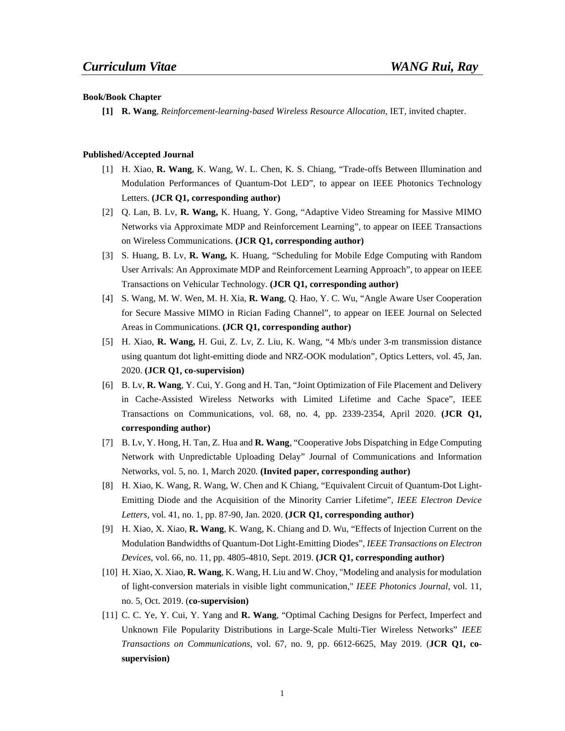#### **Book/Book Chapter**

**[1] R. Wang**, *Reinforcement-learning-based Wireless Resource Allocation*, IET, invited chapter.

#### **Published/Accepted Journal**

- [1] H. Xiao, **R. Wang**, K. Wang, W. L. Chen, K. S. Chiang, "Trade-offs Between Illumination and Modulation Performances of Quantum-Dot LED", to appear on IEEE Photonics Technology Letters. **(JCR Q1, corresponding author)**
- [2] Q. Lan, B. Lv, **R. Wang,** K. Huang, Y. Gong, "Adaptive Video Streaming for Massive MIMO Networks via Approximate MDP and Reinforcement Learning", to appear on IEEE Transactions on Wireless Communications. **(JCR Q1, corresponding author)**
- [3] S. Huang, B. Lv, **R. Wang,** K. Huang, "Scheduling for Mobile Edge Computing with Random User Arrivals: An Approximate MDP and Reinforcement Learning Approach", to appear on IEEE Transactions on Vehicular Technology. **(JCR Q1, corresponding author)**
- [4] S. Wang, M. W. Wen, M. H. Xia, **R. Wang**, Q. Hao, Y. C. Wu, "Angle Aware User Cooperation for Secure Massive MIMO in Rician Fading Channel", to appear on IEEE Journal on Selected Areas in Communications. **(JCR Q1, corresponding author)**
- [5] H. Xiao, **R. Wang,** H. Gui, Z. Lv, Z. Liu, K. Wang, "4 Mb/s under 3-m transmission distance using quantum dot light-emitting diode and NRZ-OOK modulation", Optics Letters, vol. 45, Jan. 2020. **(JCR Q1**,**co-supervision)**
- [6] B. Lv, **R. Wang**, Y. Cui, Y. Gong and H. Tan, "Joint Optimization of File Placement and Delivery in Cache-Assisted Wireless Networks with Limited Lifetime and Cache Space", IEEE Transactions on Communications, vol. 68, no. 4, pp. 2339-2354, April 2020. **(JCR Q1, corresponding author)**
- [7] B. Lv, Y. Hong, H. Tan, Z. Hua and **R. Wang**, "Cooperative Jobs Dispatching in Edge Computing Network with Unpredictable Uploading Delay" Journal of Communications and Information Networks, vol. 5, no. 1, March 2020. **(Invited paper, corresponding author)**
- [8] H. Xiao, K. Wang, R. Wang, W. Chen and K Chiang, "Equivalent Circuit of Quantum-Dot Light-Emitting Diode and the Acquisition of the Minority Carrier Lifetime", *IEEE Electron Device Letters,* vol. 41, no. 1, pp. 87-90, Jan. 2020. **(JCR Q1, corresponding author)**
- [9] H. Xiao, X. Xiao, **R. Wang**, K. Wang, K. Chiang and D. Wu, "Effects of Injection Current on the Modulation Bandwidths of Quantum-Dot Light-Emitting Diodes", *IEEE Transactions on Electron Devices*, vol. 66, no. 11, pp. 4805-4810, Sept. 2019. **(JCR Q1, corresponding author)**
- [10] H. Xiao, X. Xiao, **R. Wang**, K. Wang, H. Liu and W. Choy, "Modeling and analysis for modulation of light-conversion materials in visible light communication," *IEEE Photonics Journal*, vol. 11, no. 5, Oct. 2019. (**co-supervision)**
- [11] C. C. Ye, Y. Cui, Y. Yang and **R. Wang**, "Optimal Caching Designs for Perfect, Imperfect and Unknown File Popularity Distributions in Large-Scale Multi-Tier Wireless Networks" *IEEE Transactions on Communications*, vol. 67, no. 9, pp. 6612-6625, May 2019. (**JCR Q1, cosupervision)**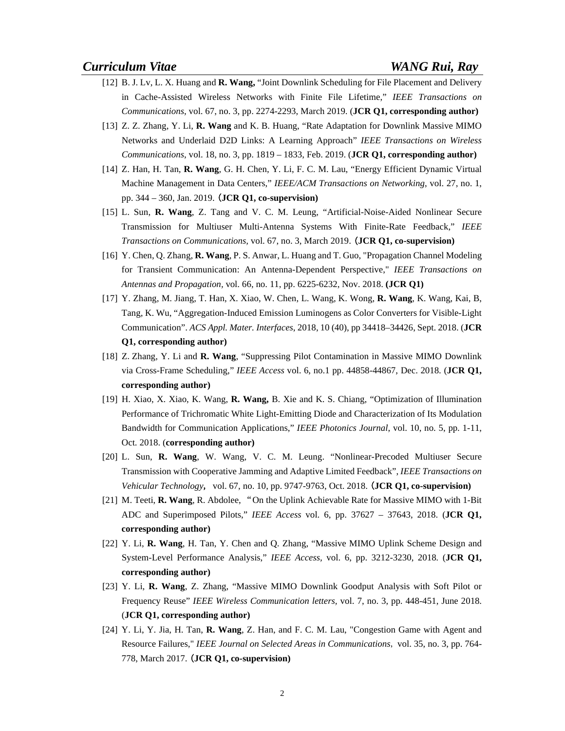- [12] B. J. Lv, L. X. Huang and **R. Wang,** "Joint Downlink Scheduling for File Placement and Delivery in Cache-Assisted Wireless Networks with Finite File Lifetime," *IEEE Transactions on Communications*, vol. 67, no. 3, pp. 2274-2293, March 2019. (**JCR Q1, corresponding author)**
- [13] Z. Z. Zhang, Y. Li, **R. Wang** and K. B. Huang, "Rate Adaptation for Downlink Massive MIMO Networks and Underlaid D2D Links: A Learning Approach" *IEEE Transactions on Wireless Communications*, vol. 18, no. 3, pp. 1819 – 1833, Feb. 2019. (**JCR Q1, corresponding author)**
- [14] Z. Han, H. Tan, **R. Wang**, G. H. Chen, Y. Li, F. C. M. Lau, "Energy Efficient Dynamic Virtual Machine Management in Data Centers," *IEEE/ACM Transactions on Networking*, vol. 27, no. 1, pp. 344 – 360, Jan. 2019. (**JCR Q1, co-supervision)**
- [15] L. Sun, **R. Wang**, Z. Tang and V. C. M. Leung, "Artificial-Noise-Aided Nonlinear Secure Transmission for Multiuser Multi-Antenna Systems With Finite-Rate Feedback," *IEEE Transactions on Communications,* vol. 67, no. 3, March 2019. (**JCR Q1, co-supervision)**
- [16] Y. Chen, Q. Zhang, **R. Wang**, P. S. Anwar, L. Huang and T. Guo, "Propagation Channel Modeling for Transient Communication: An Antenna-Dependent Perspective," *IEEE Transactions on Antennas and Propagation,* vol. 66, no. 11, pp. 6225-6232, Nov. 2018. **(JCR Q1)**
- [17] Y. Zhang, M. Jiang, T. Han, X. Xiao, W. Chen, L. Wang, K. Wong, **R. Wang**, K. Wang, Kai, B, Tang, K. Wu, "Aggregation-Induced Emission Luminogens as Color Converters for Visible-Light Communication". *ACS Appl. Mater. Interfaces*, 2018, 10 (40), pp 34418–34426, Sept. 2018. (**JCR Q1, corresponding author)**
- [18] Z.Zhang, Y. Li and **R. Wang**, "Suppressing Pilot Contamination in Massive MIMO Downlink via Cross-Frame Scheduling," *IEEE Access* vol. 6, no.1 pp. 44858-44867, Dec. 2018. (**JCR Q1, corresponding author)**
- [19] H. Xiao, X. Xiao, K. Wang, **R. Wang,** B. Xie and K. S. Chiang, "Optimization of Illumination Performance of Trichromatic White Light-Emitting Diode and Characterization of Its Modulation Bandwidth for Communication Applications," *IEEE Photonics Journal*, vol. 10, no. 5, pp. 1-11, Oct. 2018. (**corresponding author)**
- [20] L. Sun, **R. Wang**, W. Wang, V. C. M. Leung. "Nonlinear-Precoded Multiuser Secure Transmission with Cooperative Jamming and Adaptive Limited Feedback", *IEEE Transactions on Vehicular Technology*, vol. 67, no. 10, pp. 9747-9763, Oct. 2018. (**JCR Q1, co-supervision)**
- [21] M. Teeti, **R. Wang**, R. Abdolee, "On the Uplink Achievable Rate for Massive MIMO with 1-Bit ADC and Superimposed Pilots," *IEEE Access* vol. 6, pp. 37627 – 37643, 2018. (**JCR Q1, corresponding author)**
- [22] Y. Li, **R. Wang**, H. Tan, Y. Chen and Q. Zhang, "Massive MIMO Uplink Scheme Design and System-Level Performance Analysis," *IEEE Access,* vol. 6, pp. 3212-3230, 2018*.* (**JCR Q1, corresponding author)**
- [23] Y. Li, **R. Wang**, Z. Zhang, "Massive MIMO Downlink Goodput Analysis with Soft Pilot or Frequency Reuse" *IEEE Wireless Communication letters,* vol. 7, no. 3, pp. 448-451, June 2018. (**JCR Q1, corresponding author)**
- [24] Y. Li, Y. Jia, H. Tan, **R. Wang**, Z. Han, and F. C. M. Lau, "Congestion Game with Agent and Resource Failures," *IEEE Journal on Selected Areas in Communications*, vol. 35, no. 3, pp. 764- 778, March 2017. (**JCR Q1, co-supervision)**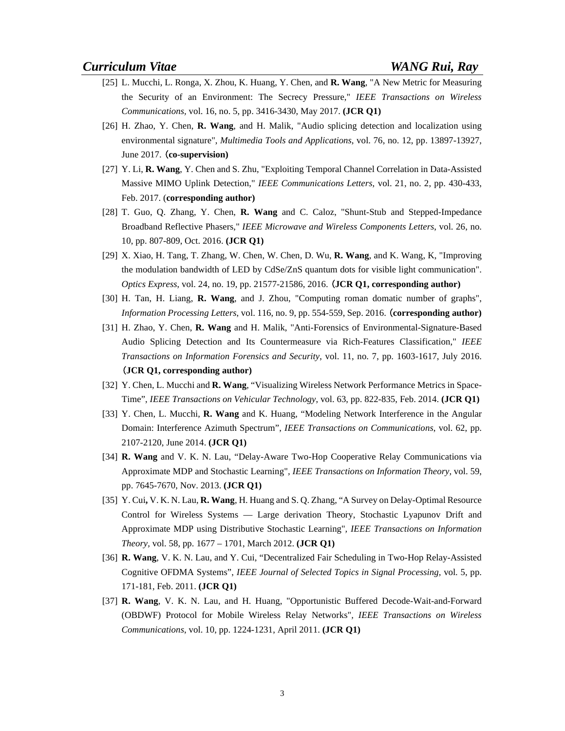- [25] L. Mucchi, L. Ronga, X. Zhou, K. Huang, Y. Chen, and **R. Wang**, "A New Metric for Measuring the Security of an Environment: The Secrecy Pressure," *IEEE Transactions on Wireless Communications,* vol. 16, no. 5, pp. 3416-3430, May 2017. **(JCR Q1)**
- [26] H. Zhao, Y. Chen, **R. Wang**, and H. Malik, "Audio splicing detection and localization using environmental signature", *Multimedia Tools and Applications*, vol. 76, no. 12, pp. 13897-13927, June 2017. (**co-supervision)**
- [27] Y. Li, **R. Wang**, Y. Chen and S. Zhu, "Exploiting Temporal Channel Correlation in Data-Assisted Massive MIMO Uplink Detection," *IEEE Communications Letters*, vol. 21, no. 2, pp. 430-433, Feb. 2017. (**corresponding author)**
- [28] T. Guo, Q. Zhang, Y. Chen, **R. Wang** and C. Caloz, "Shunt-Stub and Stepped-Impedance Broadband Reflective Phasers," *IEEE Microwave and Wireless Components Letters*, vol. 26, no. 10, pp. 807-809, Oct. 2016. **(JCR Q1)**
- [29] X. Xiao, H. Tang, T. Zhang, W. Chen, W. Chen, D. Wu, **R. Wang**, and K. Wang, K, "Improving the modulation bandwidth of LED by CdSe/ZnS quantum dots for visible light communication". *Optics Express*, vol. 24, no. 19, pp. 21577-21586, 2016. (**JCR Q1, corresponding author)**
- [30] H. Tan, H. Liang, **R. Wang**, and J. Zhou, "Computing roman domatic number of graphs", *Information Processing Letters*, vol. 116, no. 9, pp. 554-559, Sep. 2016. (**corresponding author)**
- [31] H. Zhao, Y. Chen, **R. Wang** and H. Malik, "Anti-Forensics of Environmental-Signature-Based Audio Splicing Detection and Its Countermeasure via Rich-Features Classification," *IEEE Transactions on Information Forensics and Security*, vol. 11, no. 7, pp. 1603-1617, July 2016. (**JCR Q1, corresponding author)**
- [32] Y. Chen, L. Mucchi and **R. Wang**, "Visualizing Wireless Network Performance Metrics in Space-Time", *IEEE Transactions on Vehicular Technology*, vol. 63, pp. 822-835, Feb. 2014. **(JCR Q1)**
- [33] Y. Chen, L. Mucchi, **R. Wang** and K. Huang, "Modeling Network Interference in the Angular Domain: Interference Azimuth Spectrum", *IEEE Transactions on Communications*, vol. 62, pp. 2107-2120, June 2014. **(JCR Q1)**
- [34] **R. Wang** and V. K. N. Lau, "Delay-Aware Two-Hop Cooperative Relay Communications via Approximate MDP and Stochastic Learning"*, IEEE Transactions on Information Theory,* vol. 59, pp. 7645-7670, Nov. 2013. **(JCR Q1)**
- [35] Y. Cui**,** V. K. N. Lau, **R. Wang**, H. Huang and S. Q. Zhang, "A Survey on Delay-Optimal Resource Control for Wireless Systems — Large derivation Theory, Stochastic Lyapunov Drift and Approximate MDP using Distributive Stochastic Learning"*, IEEE Transactions on Information Theory,* vol. 58, pp. 1677 – 1701, March 2012. **(JCR Q1)**
- [36] **R. Wang**, V. K. N. Lau, and Y. Cui, "Decentralized Fair Scheduling in Two-Hop Relay-Assisted Cognitive OFDMA Systems", *IEEE Journal of Selected Topics in Signal Processing,* vol. 5, pp. 171-181, Feb. 2011. **(JCR Q1)**
- [37] **R. Wang**, V. K. N. Lau, and H. Huang, "Opportunistic Buffered Decode-Wait-and-Forward (OBDWF) Protocol for Mobile Wireless Relay Networks"*, IEEE Transactions on Wireless Communications*, vol. 10, pp. 1224-1231, April 2011. **(JCR Q1)**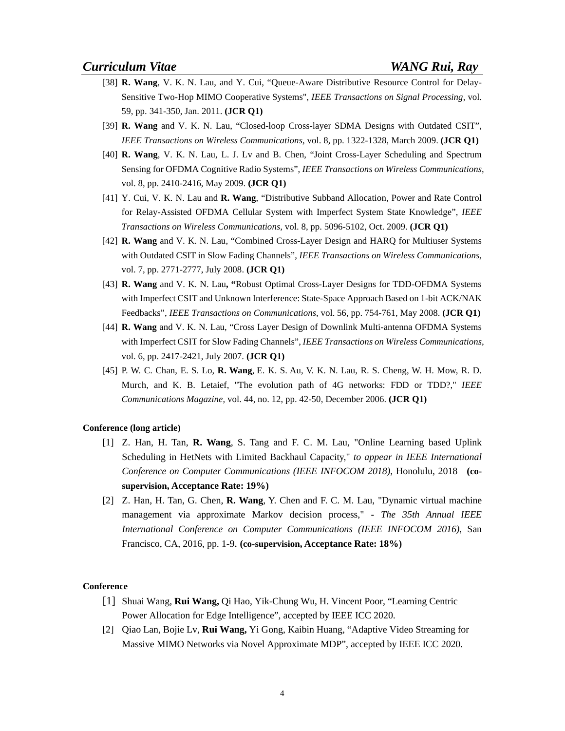- [38] **R. Wang**, V. K. N. Lau, and Y. Cui, "Queue-Aware Distributive Resource Control for Delay-Sensitive Two-Hop MIMO Cooperative Systems", *IEEE Transactions on Signal Processing*, vol. 59, pp. 341-350, Jan. 2011. **(JCR Q1)**
- [39] **R. Wang** and V. K. N. Lau, "Closed-loop Cross-layer SDMA Designs with Outdated CSIT", *IEEE Transactions on Wireless Communications*, vol. 8, pp. 1322-1328, March 2009. **(JCR Q1)**
- [40] **R. Wang**, V. K. N. Lau, L. J. Lv and B. Chen, "Joint Cross-Layer Scheduling and Spectrum Sensing for OFDMA Cognitive Radio Systems", *IEEE Transactions on Wireless Communications*, vol. 8, pp. 2410-2416, May 2009. **(JCR Q1)**
- [41] Y. Cui, V. K. N. Lau and **R. Wang**, "Distributive Subband Allocation, Power and Rate Control for Relay-Assisted OFDMA Cellular System with Imperfect System State Knowledge", *IEEE Transactions on Wireless Communications,* vol. 8, pp. 5096-5102, Oct. 2009. **(JCR Q1)**
- [42] **R. Wang** and V. K. N. Lau, "Combined Cross-Layer Design and HARQ for Multiuser Systems with Outdated CSIT in Slow Fading Channels", *IEEE Transactions on Wireless Communications,*  vol. 7, pp. 2771-2777, July 2008. **(JCR Q1)**
- [43] **R. Wang** and V. K. N. Lau**, "**Robust Optimal Cross-Layer Designs for TDD-OFDMA Systems with Imperfect CSIT and Unknown Interference: State-Space Approach Based on 1-bit ACK/NAK Feedbacks", *IEEE Transactions on Communications,* vol. 56, pp. 754-761, May 2008. **(JCR Q1)**
- [44] **R. Wang** and V. K. N. Lau, "Cross Layer Design of Downlink Multi-antenna OFDMA Systems with Imperfect CSIT for Slow Fading Channels", *IEEE Transactions on Wireless Communications*, vol. 6, pp. 2417-2421, July 2007. **(JCR Q1)**
- [45] P. W. C. Chan, E. S. Lo, **R. Wang**, E. K. S. Au, V. K. N. Lau, R. S. Cheng, W. H. Mow, R. D. Murch, and K. B. Letaief, "The evolution path of 4G networks: FDD or TDD?," *IEEE Communications Magazine,* vol. 44, no. 12, pp. 42-50, December 2006. **(JCR Q1)**

#### **Conference (long article)**

- [1] Z. Han, H. Tan, **R. Wang**, S. Tang and F. C. M. Lau, "Online Learning based Uplink Scheduling in HetNets with Limited Backhaul Capacity," *to appear in IEEE International Conference on Computer Communications (IEEE INFOCOM 2018)*, Honolulu, 2018 **(cosupervision, Acceptance Rate: 19%)**
- [2] Z. Han, H. Tan, G. Chen, **R. Wang**, Y. Chen and F. C. M. Lau, "Dynamic virtual machine management via approximate Markov decision process," *- The 35th Annual IEEE International Conference on Computer Communications (IEEE INFOCOM 2016)*, San Francisco, CA, 2016, pp. 1-9. **(co-supervision, Acceptance Rate: 18%)**

#### **Conference**

- [1] Shuai Wang, **Rui Wang,** Qi Hao, Yik-Chung Wu, H. Vincent Poor, "Learning Centric Power Allocation for Edge Intelligence", accepted by IEEE ICC 2020.
- [2] Qiao Lan, Bojie Lv, **Rui Wang,** Yi Gong, Kaibin Huang, "Adaptive Video Streaming for Massive MIMO Networks via Novel Approximate MDP", accepted by IEEE ICC 2020.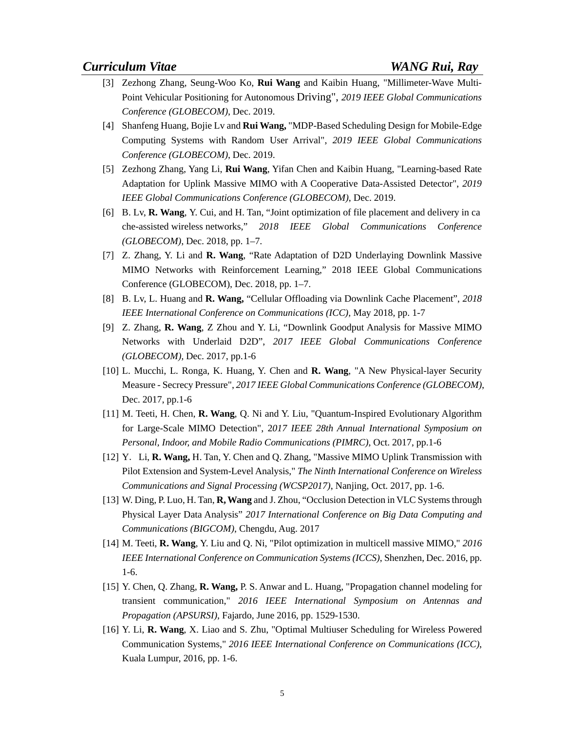- [3] Zezhong Zhang, Seung-Woo Ko, **Rui Wang** and Kaibin Huang, "Millimeter-Wave Multi-Point Vehicular Positioning for Autonomous Driving", *2019 IEEE Global Communications Conference (GLOBECOM)*, Dec. 2019.
- [4] Shanfeng Huang, Bojie Lv and **Rui Wang,** "MDP-Based Scheduling Design for Mobile-Edge Computing Systems with Random User Arrival", *2019 IEEE Global Communications Conference (GLOBECOM)*, Dec. 2019.
- [5] Zezhong Zhang, Yang Li, **Rui Wang**, Yifan Chen and Kaibin Huang, "Learning-based Rate Adaptation for Uplink Massive MIMO with A Cooperative Data-Assisted Detector", *2019 IEEE Global Communications Conference (GLOBECOM)*, Dec. 2019.
- [6] B. Lv, **R. Wang**, Y. Cui, and H. Tan, "Joint optimization of file placement and delivery in ca che-assisted wireless networks," *2018 IEEE Global Communications Conference (GLOBECOM)*, Dec. 2018, pp. 1–7.
- [7] Z. Zhang, Y. Li and **R. Wang**, "Rate Adaptation of D2D Underlaying Downlink Massive MIMO Networks with Reinforcement Learning," 2018 IEEE Global Communications Conference (GLOBECOM), Dec. 2018, pp. 1–7.
- [8] B. Lv, L. Huang and **R. Wang,** "Cellular Offloading via Downlink Cache Placement", *2018 IEEE International Conference on Communications (ICC),* May 2018*,* pp. 1-7
- [9] Z. Zhang, **R. Wang**, Z Zhou and Y. Li, "Downlink Goodput Analysis for Massive MIMO Networks with Underlaid D2D", *2017 IEEE Global Communications Conference (GLOBECOM),* Dec. 2017, pp.1-6
- [10] L. Mucchi, L. Ronga, K. Huang, Y. Chen and **R. Wang**, "A New Physical-layer Security Measure - Secrecy Pressure", *2017 IEEE Global Communications Conference (GLOBECOM)*, Dec. 2017, pp.1-6
- [11] M. Teeti, H. Chen, **R. Wang**, Q. Ni and Y. Liu, "Quantum-Inspired Evolutionary Algorithm for Large-Scale MIMO Detection", 2*017 IEEE 28th Annual International Symposium on Personal, Indoor, and Mobile Radio Communications (PIMRC)*, Oct. 2017, pp.1-6
- [12] Y. Li, **R. Wang,** H. Tan, Y. Chen and Q. Zhang, "Massive MIMO Uplink Transmission with Pilot Extension and System-Level Analysis," *The Ninth International Conference on Wireless Communications and Signal Processing (WCSP2017)*, Nanjing, Oct. 2017, pp. 1-6.
- [13] W. Ding, P. Luo, H. Tan, **R, Wang** and J. Zhou, "Occlusion Detection in VLC Systems through Physical Layer Data Analysis" *2017 International Conference on Big Data Computing and Communications (BIGCOM)*, Chengdu, Aug. 2017
- [14] M. Teeti, **R. Wang**, Y. Liu and Q. Ni, "Pilot optimization in multicell massive MIMO," *2016 IEEE International Conference on Communication Systems (ICCS)*, Shenzhen, Dec. 2016, pp. 1-6.
- [15] Y. Chen, Q. Zhang, **R. Wang,** P. S. Anwar and L. Huang, "Propagation channel modeling for transient communication," *2016 IEEE International Symposium on Antennas and Propagation (APSURSI)*, Fajardo, June 2016, pp. 1529-1530.
- [16] Y. Li, **R. Wang**, X. Liao and S. Zhu, "Optimal Multiuser Scheduling for Wireless Powered Communication Systems," *2016 IEEE International Conference on Communications (ICC)*, Kuala Lumpur, 2016, pp. 1-6.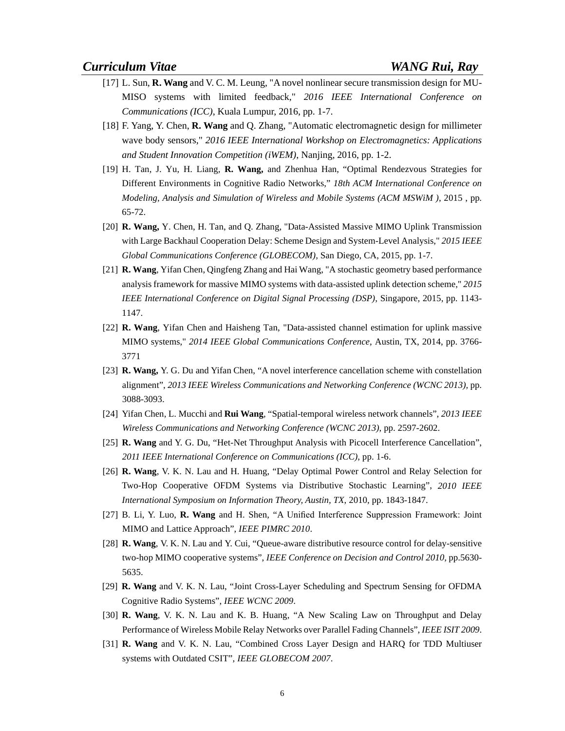- [17] L. Sun, **R. Wang** and V. C. M. Leung, "A novel nonlinear secure transmission design for MU-MISO systems with limited feedback," *2016 IEEE International Conference on Communications (ICC)*, Kuala Lumpur, 2016, pp. 1-7.
- [18] F. Yang, Y. Chen, **R. Wang** and Q. Zhang, "Automatic electromagnetic design for millimeter wave body sensors," *2016 IEEE International Workshop on Electromagnetics: Applications and Student Innovation Competition (iWEM)*, Nanjing, 2016, pp. 1-2.
- [19] H. Tan, J. Yu, H. Liang, **R. Wang,** and Zhenhua Han, "Optimal Rendezvous Strategies for Different Environments in Cognitive Radio Networks," *18th ACM International Conference on Modeling, Analysis and Simulation of Wireless and Mobile Systems (ACM MSWiM )*, 2015 , pp. 65-72.
- [20] **R. Wang,** Y. Chen, H. Tan, and Q. Zhang, "Data-Assisted Massive MIMO Uplink Transmission with Large Backhaul Cooperation Delay: Scheme Design and System-Level Analysis," *2015 IEEE Global Communications Conference (GLOBECOM),* San Diego, CA, 2015, pp. 1-7.
- [21] **R. Wang**, Yifan Chen, Qingfeng Zhang and Hai Wang, "A stochastic geometry based performance analysis framework for massive MIMO systems with data-assisted uplink detection scheme," *2015 IEEE International Conference on Digital Signal Processing (DSP)*, Singapore, 2015, pp. 1143- 1147.
- [22] **R. Wang**, Yifan Chen and Haisheng Tan, "Data-assisted channel estimation for uplink massive MIMO systems," *2014 IEEE Global Communications Conference*, Austin, TX, 2014, pp. 3766- 3771
- [23] **R. Wang,** Y. G. Du and Yifan Chen, "A novel interference cancellation scheme with constellation alignment", *2013 IEEE Wireless Communications and Networking Conference (WCNC 2013),* pp. 3088-3093.
- [24] Yifan Chen, L. Mucchi and **Rui Wang**, "Spatial-temporal wireless network channels", *2013 IEEE Wireless Communications and Networking Conference (WCNC 2013)*, pp. 2597-2602.
- [25] **R. Wang** and Y. G. Du, "Het-Net Throughput Analysis with Picocell Interference Cancellation", *2011 IEEE International Conference on Communications (ICC)*, pp. 1-6.
- [26] **R. Wang**, V. K. N. Lau and H. Huang, "Delay Optimal Power Control and Relay Selection for Two-Hop Cooperative OFDM Systems via Distributive Stochastic Learning", *2010 IEEE International Symposium on Information Theory, Austin, TX*, 2010, pp. 1843-1847.
- [27] B. Li, Y. Luo, **R. Wang** and H. Shen, "A Unified Interference Suppression Framework: Joint MIMO and Lattice Approach", *IEEE PIMRC 2010*.
- [28] **R. Wang**, V. K. N. Lau and Y. Cui, "Queue-aware distributive resource control for delay-sensitive two-hop MIMO cooperative systems", *IEEE Conference on Decision and Control 2010*, pp.5630- 5635.
- [29] **R. Wang** and V. K. N. Lau, "Joint Cross-Layer Scheduling and Spectrum Sensing for OFDMA Cognitive Radio Systems", *IEEE WCNC 2009*.
- [30] **R. Wang**, V. K. N. Lau and K. B. Huang, "A New Scaling Law on Throughput and Delay Performance of Wireless Mobile Relay Networks over Parallel Fading Channels", *IEEE ISIT 2009*.
- [31] **R. Wang** and V. K. N. Lau, "Combined Cross Layer Design and HARQ for TDD Multiuser systems with Outdated CSIT", *IEEE GLOBECOM 2007*.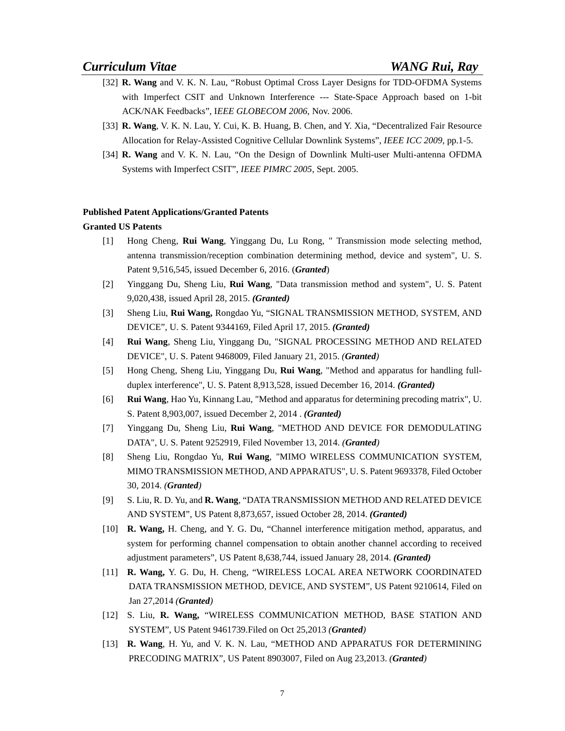- [32] **R. Wang** and V. K. N. Lau, "Robust Optimal Cross Layer Designs for TDD-OFDMA Systems with Imperfect CSIT and Unknown Interference --- State-Space Approach based on 1-bit ACK/NAK Feedbacks", I*EEE GLOBECOM 2006*, Nov. 2006.
- [33] **R. Wang**, V. K. N. Lau, Y. Cui, K. B. Huang, B. Chen, and Y. Xia, "Decentralized Fair Resource Allocation for Relay-Assisted Cognitive Cellular Downlink Systems", *IEEE ICC 2009*, pp.1-5.
- [34] **R. Wang** and V. K. N. Lau, "On the Design of Downlink Multi-user Multi-antenna OFDMA Systems with Imperfect CSIT", *IEEE PIMRC 2005*, Sept. 2005.

#### **Published Patent Applications/Granted Patents**

#### **Granted US Patents**

- [1] Hong Cheng, **Rui Wang**, Yinggang Du, Lu Rong, " Transmission mode selecting method, antenna transmission/reception combination determining method, device and system", U. S. Patent 9,516,545, issued December 6, 2016. (*Granted*)
- [2] Yinggang Du, Sheng Liu, **Rui Wang**, "Data transmission method and system", U. S. Patent 9,020,438, issued April 28, 2015. *(Granted)*
- [3] Sheng Liu, **Rui Wang,** Rongdao Yu, "SIGNAL TRANSMISSION METHOD, SYSTEM, AND DEVICE", U. S. Patent 9344169, Filed April 17, 2015. *(Granted)*
- [4] **Rui Wang**, Sheng Liu, Yinggang Du, "SIGNAL PROCESSING METHOD AND RELATED DEVICE", U. S. Patent 9468009, Filed January 21, 2015. *(Granted)*
- [5] Hong Cheng, Sheng Liu, Yinggang Du, **Rui Wang**, "Method and apparatus for handling fullduplex interference", U. S. Patent 8,913,528, issued December 16, 2014. *(Granted)*
- [6] **Rui Wang**, Hao Yu, Kinnang Lau, "Method and apparatus for determining precoding matrix", U. S. Patent 8,903,007, issued December 2, 2014 . *(Granted)*
- [7] Yinggang Du, Sheng Liu, **Rui Wang**, "METHOD AND DEVICE FOR DEMODULATING DATA", U. S. Patent 9252919, Filed November 13, 2014. *(Granted)*
- [8] Sheng Liu, Rongdao Yu, **Rui Wang**, "MIMO WIRELESS COMMUNICATION SYSTEM, MIMO TRANSMISSION METHOD, AND APPARATUS", U. S. Patent 9693378, Filed October 30, 2014. *(Granted)*
- [9] S. Liu, R. D. Yu, and **R. Wang**, "DATA TRANSMISSION METHOD AND RELATED DEVICE AND SYSTEM", US Patent 8,873,657, issued October 28, 2014. *(Granted)*
- [10] **R. Wang,** H. Cheng, and Y. G. Du, "Channel interference mitigation method, apparatus, and system for performing channel compensation to obtain another channel according to received adjustment parameters", US Patent 8,638,744, issued January 28, 2014. *(Granted)*
- [11] **R. Wang,** Y. G. Du, H. Cheng, "WIRELESS LOCAL AREA NETWORK COORDINATED DATA TRANSMISSION METHOD, DEVICE, AND SYSTEM", US Patent 9210614, Filed on Jan 27,2014 *(Granted)*
- [12] S. Liu, **R. Wang,** "WIRELESS COMMUNICATION METHOD, BASE STATION AND SYSTEM", US Patent 9461739.Filed on Oct 25,2013 *(Granted)*
- [13] **R. Wang**, H. Yu, and V. K. N. Lau, "METHOD AND APPARATUS FOR DETERMINING PRECODING MATRIX", US Patent 8903007, Filed on Aug 23,2013. *(Granted)*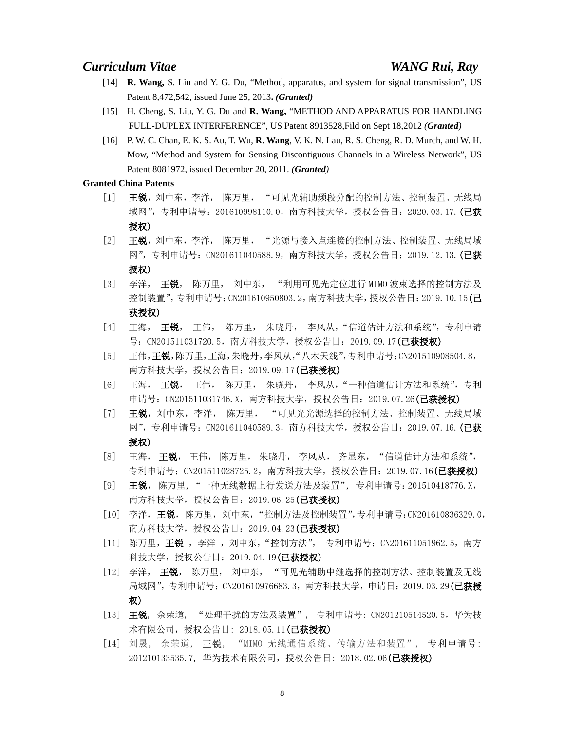- [14] **R. Wang,** S. Liu and Y. G. Du, "Method, apparatus, and system for signal transmission", US Patent 8,472,542, issued June 25, 2013**.** *(Granted)*
- [15] H. Cheng, S. Liu, Y. G. Du and **R. Wang,** "METHOD AND APPARATUS FOR HANDLING FULL-DUPLEX INTERFERENCE", US Patent 8913528,Fild on Sept 18,2012 *(Granted)*
- [16] P. W. C. Chan, E. K. S. Au, T. Wu, **R. Wang**, V. K. N. Lau, R. S. Cheng, R. D. Murch, and W. H. Mow, "Method and System for Sensing Discontiguous Channels in a Wireless Network", US Patent 8081972, issued December 20, 2011. *(Granted)*

## **Granted China Patents**

- [1] 王锐, 刘中东, 李洋, 陈万里, "可见光辅助频段分配的控制方法、控制装置、无线局 域网",专利申请号: 201610998110.0, 南方科技大学, 授权公告日: 2020.03.17. (已获 授权)
- [2] 王锐,刘中东,李洋, 陈万里, "光源与接入点连接的控制方法、控制装置、无线局域 网",专利申请号: CN201611040588.9, 南方科技大学, 授权公告日: 2019.12.13. (已获 授权)
- [3] 李洋, 王锐, 陈万里, 刘中东, "利用可见光定位进行 MIMO 波束选择的控制方法及 控制装置",专利申请号:CN201610950803.2,南方科技大学,授权公告日:2019.10.15(已 获授权)
- [4] 王海, 王锐, 王伟, 陈万里, 朱晓丹, 李风从, "信道估计方法和系统", 专利申请 号: CN201511031720.5, 南方科技大学, 授权公告日: 2019.09.17(已获授权)
- [5] 王伟,王锐,陈万里,王海,朱晓丹,李风从,"八木天线",专利申请号:CN201510908504.8, 南方科技大学, 授权公告日: 2019.09.17(已获授权)
- [6] 王海, 王锐, 王伟, 陈万里, 朱晓丹, 李风从,"一种信道估计方法和系统",专利 申请号: CN201511031746.X, 南方科技大学, 授权公告日: 2019.07.26(已获授权)
- [7] 王锐,刘中东,李洋, 陈万里, "可见光光源选择的控制方法、控制装置、无线局域 网",专利申请号: CN201611040589.3, 南方科技大学, 授权公告日: 2019.07.16. (**已获** 授权)
- [8] 王海, 王锐, 王伟, 陈万里, 朱晓丹, 李风从, 齐显东, "信道估计方法和系统", 专利申请号: CN201511028725.2, 南方科技大学, 授权公告日: 2019.07.16(已获授权)
- [9] 王锐, 陈万里, "一种无线数据上行发送方法及装置", 专利申请号:201510418776.X, 南方科技大学,授权公告日: 2019.06.25(已获授权)
- [10] 李洋,王锐,陈万里,刘中东,"控制方法及控制装置",专利申请号:CN201610836329.0, 南方科技大学, 授权公告日: 2019.04.23(已获授权)
- [11] 陈万里,王锐 ,李洋 ,刘中东,"控制方法", 专利申请号:CN201611051962.5,南方 科技大学, 授权公告日: 2019.04.19(已获授权)
- [12] 李洋, 王锐, 陈万里, 刘中东, "可见光辅助中继选择的控制方法、控制装置及无线 局域网",专利申请号: CN201610976683.3, 南方科技大学, 申请日: 2019.03.29(**已获授** 权)
- [13] 王锐, 余荣道, "处理干扰的方法及装置", 专利申请号: CN201210514520.5,华为技 术有限公司, 授权公告日: 2018.05.11 (已获授权)
- [14] 刘晟, 余荣道, 王锐, "MIMO 无线通信系统、传输方法和装置", 专利申请号: 201210133535.7, 华为技术有限公司, 授权公告日: 2018.02.06 (已获授权)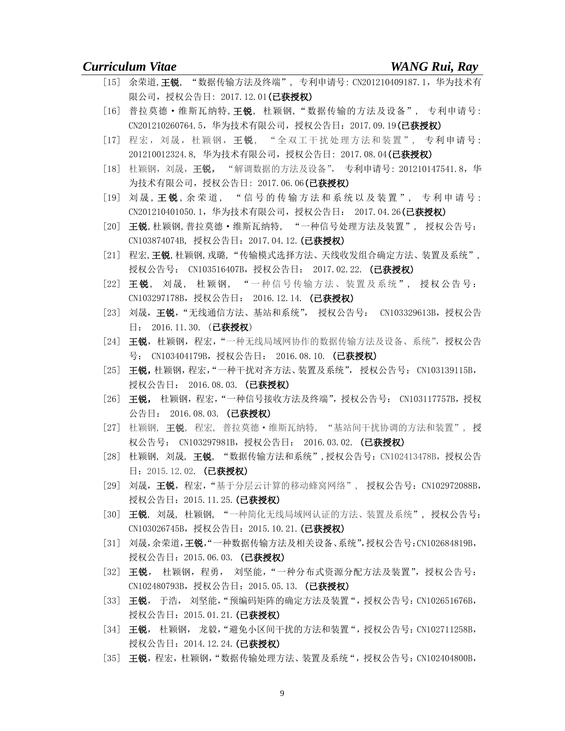- [15] 余荣道, 王锐, "数据传输方法及终端", 专利申请号: CN201210409187.1, 华为技术有 限公司, 授权公告日: 2017.12.01 (已获授权)
- [16] 普拉莫德·维斯瓦纳特,王锐, 杜颖钢,"数据传输的方法及设备", 专利申请号: CN201210260764.5, 华为技术有限公司, 授权公告日: 2017.09.19(已获授权)
- [17] 程宏,刘晟,杜颖钢,王锐, "全双工干扰处理方法和装置", 专利申请号: 201210012324.8, 华为技术有限公司, 授权公告日: 2017.08.04 (己获授权)
- [18] 杜颖钢,刘晟,王锐, "解调数据的方法及设备", 专利申请号: 201210147541.8,华 为技术有限公司,授权公告日: 2017.06.06 (已获授权)
- [19] 刘晟, 王锐, 余荣道, "信号的传输方法和系统以及装置", 专利申请号: CN201210401050.1,华为技术有限公司,授权公告日: 2017.04.26(已获授权)
- [20] 王锐,杜颖钢,普拉莫德·维斯瓦纳特, "一种信号处理方法及装置", 授权公告号: CN103874074B, 授权公告日: 2017.04.12. (己获授权)
- [21] 程宏,王锐,杜颖钢,戎璐,"传输模式选择方法、天线收发组合确定方法、装置及系统", 授权公告号: CN103516407B, 授权公告日: 2017.02.22. (已获授权)
- [22] 王锐, 刘晟, 杜颖钢, "一种信号传输方法、装置及系统", 授权公告号: CN103297178B,授权公告日: 2016.12.14. (已获授权)
- [23] 刘晟,王锐,"无线通信方法、基站和系统", 授权公告号: CN103329613B, 授权公告 日: 2016.11.30. (已获授权)
- [24] 王锐, 杜颖钢, 程宏, "一种无线局域网协作的数据传输方法及设备、系统", 授权公告 号: CN103404179B, 授权公告日: 2016.08.10. (已获授权)
- [25] 王锐,杜颖钢,程宏,"一种干扰对齐方法、装置及系统", 授权公告号: CN103139115B, 授权公告日: 2016.08.03. (已获授权)
- [26] 王锐, 杜颖钢,程宏,"一种信号接收方法及终端",授权公告号: CN103117757B,授权 公告日: 2016.08.03. (已获授权)
- [27] 杜颖钢, 王锐, 程宏, 普拉莫德·维斯瓦纳特, "基站间干扰协调的方法和装置", 授 权公告号: CN103297981B, 授权公告日: 2016.03.02. (已获授权)
- [28] 杜颖钢, 刘晟, 王锐, "数据传输方法和系统",授权公告号: CN102413478B, 授权公告 日: 2015.12.02. (已获授权)
- [29] 刘晟,王锐,程宏,"基于分层云计算的移动蜂窝网络", 授权公告号: CN102972088B, 授权公告日: 2015.11.25. (已获授权)
- [30] 王锐, 刘晟, 杜颖钢, "一种简化无线局域网认证的方法、装置及系统", 授权公告号: CN103026745B, 授权公告日: 2015.10.21. (已获授权)
- [31] 刘晟,余荣道,王锐,"一种数据传输方法及相关设备、系统",授权公告号:CN102684819B, 授权公告日: 2015.06.03. (已获授权)
- [32] 王锐, 杜颖钢,程勇, 刘坚能, "一种分布式资源分配方法及装置", 授权公告号: CN102480793B, 授权公告日: 2015.05.13. (已获授权)
- [33] 王锐, 于浩, 刘坚能, "预编码矩阵的确定方法及装置", 授权公告号: CN102651676B, 授权公告日: 2015.01.21. (已获授权)
- [34] 王锐, 杜颖钢, 龙毅, "避免小区间干扰的方法和装置", 授权公告号: CN102711258B, 授权公告日: 2014.12.24. (已获授权)
- [35] 王锐,程宏,杜颖钢,"数据传输处理方法、装置及系统",授权公告号: CN102404800B,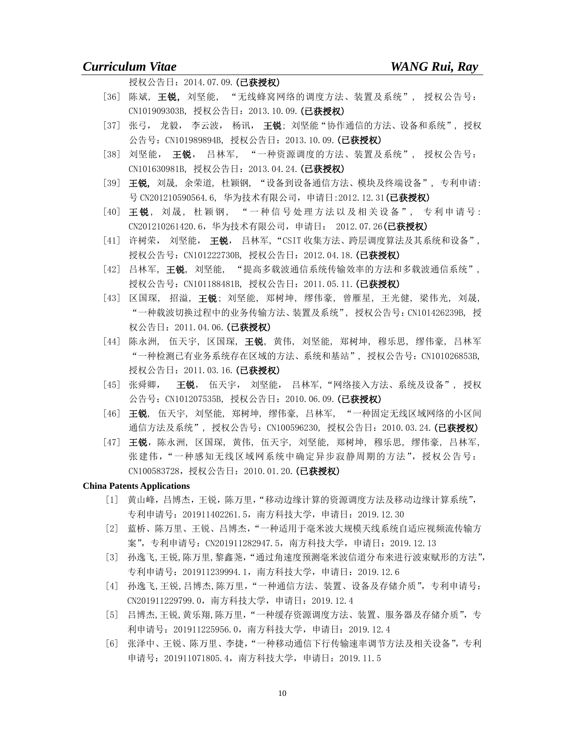授权公告日: 2014.07.09. (己获授权)

- [36] 陈斌, 王锐, 刘坚能, "无线蜂窝网络的调度方法、装置及系统", 授权公告号: CN101909303B, 授权公告日:2013.10.09.(已获授权)
- [37] 张弓, 龙毅, 李云波, 杨讯, 王锐; 刘坚能"协作通信的方法、设备和系统", 授权 公告号: CN101989894B, 授权公告日: 2013.10.09. (已获授权)
- [38] 刘坚能, 王锐, 吕林军, "一种资源调度的方法、装置及系统", 授权公告号: CN101630981B, 授权公告日:2013.04.24.(已获授权)
- [39] 王锐, 刘晟, 余荣道, 杜颖钢, "设备到设备通信方法、模块及终端设备", 专利申请: 号 CN201210590564.6, 华为技术有限公司, 申请日: 2012.12.31 (已获授权)
- [40] 王锐, 刘晟, 杜颖钢, "一种信号处理方法以及相关设备", 专利申请号: CN201210261420.6,华为技术有限公司,申请日: 2012.07.26(已获授权)
- [41] 许树荣, 刘坚能, 王锐, 吕林军, "CSIT 收集方法、跨层调度算法及其系统和设备", 授权公告号: CN101222730B, 授权公告日: 2012.04.18. (已获授权)
- [42] 吕林军, 王锐, 刘坚能, "提高多载波通信系统传输效率的方法和多载波通信系统", 授权公告号: CN101188481B, 授权公告日: 2011.05.11. (已获授权)
- [43] 区国琛, 招溢, 王锐; 刘坚能, 郑树坤, 缪伟豪, 曾雁星, 王光健, 梁伟光, 刘晟, "一种载波切换过程中的业务传输方法、装置及系统", 授权公告号:CN101426239B, 授 权公告日: 2011.04.06. (已获授权)
- [44] 陈永洲, 伍天宇, 区国琛, **王锐**, 黄伟, 刘坚能, 郑树坤, 穆乐思, 缪伟豪, 吕林军 "一种检测已有业务系统存在区域的方法、系统和基站", 授权公告号:CN101026853B, 授权公告日: 2011.03.16. (已获授权)
- [45] 张舜卿, 王锐, 伍天宇, 刘坚能, 吕林军, "网络接入方法、系统及设备", 授权 公告号: CN101207535B, 授权公告日: 2010.06.09. (已获授权)
- [46] 王锐, 伍天宇, 刘坚能, 郑树坤, 缪伟豪, 吕林军, "一种固定无线区域网络的小区间 通信方法及系统", 授权公告号: CN100596230, 授权公告日: 2010.03.24. (已获授权)
- [47] 王锐,陈永洲,区国琛,黄伟,伍天宇,刘坚能,郑树坤,穆乐思,缪伟豪,吕林军, 张建伟, "一种感知无线区域网系统中确定异步寂静周期的方法",授权公告号: CN100583728, 授权公告日: 2010.01.20. (已获授权)

### **China Patents Applications**

- [1] 黄山峰,吕博杰,王锐,陈万里,"移动边缘计算的资源调度方法及移动边缘计算系统", 专利申请号:201911402261.5,南方科技大学,申请日:2019.12.30
- [2] 蓝桥、陈万里、王锐、吕博杰,"一种适用于毫米波大规模天线系统自适应视频流传输方 案",专利申请号:CN201911282947.5,南方科技大学,申请日:2019.12.13
- [3] 孙逸飞,王锐,陈万里,黎鑫荛,"通过角速度预测毫米波信道分布来进行波束赋形的方法", 专利申请号:201911239994.1,南方科技大学,申请日:2019.12.6
- [4] 孙逸飞,王锐,吕博杰,陈万里,"一种通信方法、装置、设备及存储介质",专利申请号: CN201911229799.0,南方科技大学,申请日:2019.12.4
- [5] 吕博杰,王锐,黄乐翔,陈万里,"一种缓存资源调度方法、装置、服务器及存储介质",专 利申请号:201911225956.0,南方科技大学,申请日:2019.12.4
- [6] 张泽中、王锐、陈万里、李捷,"一种移动通信下行传输速率调节方法及相关设备",专利 申请号:201911071805.4,南方科技大学,申请日:2019.11.5